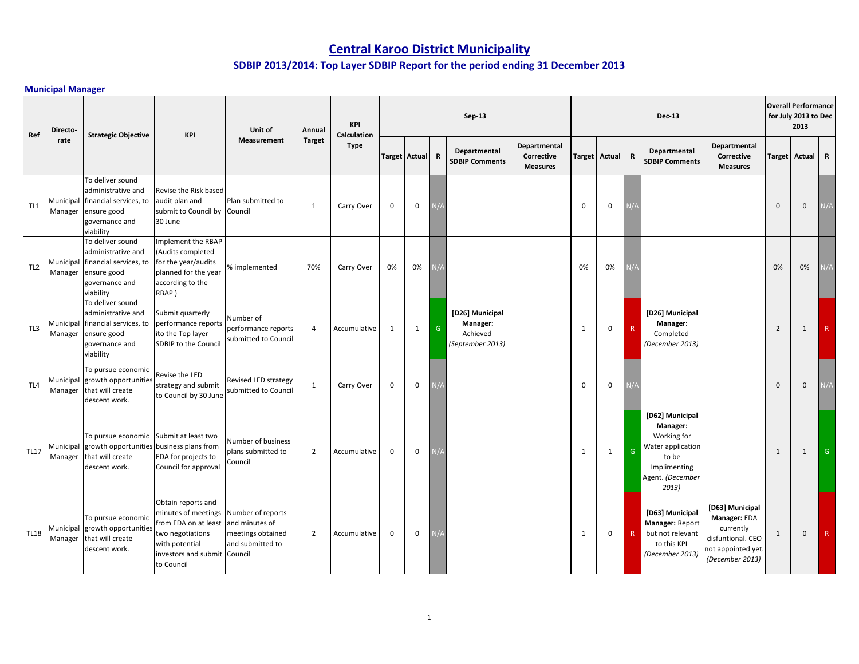# **Central Karoo District Municipality**

## **SDBIP 2013/2014: Top Layer SDBIP Report for the period ending 31 December 2013**

## **Municipal Manager**

| Ref             | Directo- |                                                                                                                          | <b>KPI</b>                                                                                                                                   | Unit of                                                                                 | Annual         | <b>KPI</b><br><b>Calculation</b> |                      |              |               | $Sep-13$                                                    |                                               |              |                      |             | <b>Dec-13</b>                                                                                                         |                                                                                                            |                | <b>Overall Performance</b><br>for July 2013 to Dec<br>2013 |     |
|-----------------|----------|--------------------------------------------------------------------------------------------------------------------------|----------------------------------------------------------------------------------------------------------------------------------------------|-----------------------------------------------------------------------------------------|----------------|----------------------------------|----------------------|--------------|---------------|-------------------------------------------------------------|-----------------------------------------------|--------------|----------------------|-------------|-----------------------------------------------------------------------------------------------------------------------|------------------------------------------------------------------------------------------------------------|----------------|------------------------------------------------------------|-----|
|                 | rate     | <b>Strategic Objective</b>                                                                                               |                                                                                                                                              | <b>Measurement</b>                                                                      | <b>Target</b>  | <b>Type</b>                      | <b>Target Actual</b> |              | $\mathbf R$   | Departmental<br><b>SDBIP Comments</b>                       | Departmental<br>Corrective<br><b>Measures</b> |              | <b>Target Actual</b> | R           | Departmental<br><b>SDBIP Comments</b>                                                                                 | Departmental<br>Corrective<br><b>Measures</b>                                                              | <b>Target</b>  | Actual R                                                   |     |
| TL1             | Manager  | To deliver sound<br>administrative and<br>Municipal financial services, to<br>ensure good<br>governance and<br>viability | Revise the Risk based<br>audit plan and<br>submit to Council by<br>30 June                                                                   | Plan submitted to<br>Council                                                            | $\mathbf{1}$   | Carry Over                       | $\mathbf 0$          | 0            | <i>ہ \</i>    |                                                             |                                               | $\mathbf 0$  | $\mathbf 0$          | V/4         |                                                                                                                       |                                                                                                            | $\mathbf{0}$   | $\mathbf 0$                                                | N/A |
| TL <sub>2</sub> | Manager  | To deliver sound<br>administrative and<br>Municipal financial services, to<br>ensure good<br>governance and<br>viability | Implement the RBAP<br>(Audits completed<br>for the year/audits<br>planned for the year<br>according to the<br>RBAP)                          | % implemented                                                                           | 70%            | Carry Over                       | 0%                   | 0%           |               |                                                             |                                               | 0%           | 0%                   | $\sqrt{2}$  |                                                                                                                       |                                                                                                            | 0%             | 0%                                                         | N/A |
| TL3             | Manager  | To deliver sound<br>administrative and<br>Municipal financial services, to<br>ensure good<br>governance and<br>viability | Submit quarterly<br>performance reports<br>ito the Top layer<br>SDBIP to the Council                                                         | Number of<br>performance reports<br>submitted to Council                                | 4              | Accumulative                     | 1                    | $\mathbf{1}$ | ${\mathsf G}$ | [D26] Municipal<br>Manager:<br>Achieved<br>(September 2013) |                                               | 1            | $\mathbf 0$          | $\mathsf R$ | [D26] Municipal<br>Manager:<br>Completed<br>(December 2013)                                                           |                                                                                                            | $\overline{2}$ | $\mathbf{1}$                                               | R   |
| TL <sub>4</sub> | Manager  | To pursue economic<br>Municipal growth opportunities<br>that will create<br>descent work.                                | Revise the LED<br>strategy and submit<br>to Council by 30 June                                                                               | Revised LED strategy<br>submitted to Council                                            | $\mathbf{1}$   | Carry Over                       | $\mathbf 0$          | $\mathbf 0$  | $\sqrt{A}$    |                                                             |                                               | $\mathbf{0}$ | $\pmb{0}$            | V/t         |                                                                                                                       |                                                                                                            | $\mathbf{0}$   | $\mathbf 0$                                                | N/A |
| <b>TL17</b>     | Manager  | To pursue economic Submit at least two<br>Municipal growth opportunities<br>that will create<br>descent work.            | business plans from<br>EDA for projects to<br>Council for approval                                                                           | Number of business<br>plans submitted to<br>Council                                     | $\overline{2}$ | Accumulative                     | $\mathbf 0$          | $\mathbf 0$  | ۱/A           |                                                             |                                               | 1            | $\mathbf{1}$         | G           | [D62] Municipal<br>Manager:<br>Working for<br>Water application<br>to be<br>Implimenting<br>Agent. (December<br>2013) |                                                                                                            | 1              | $\mathbf{1}$                                               | G   |
| <b>TL18</b>     | Manager  | To pursue economic<br>Municipal growth opportunities<br>that will create<br>descent work.                                | Obtain reports and<br>minutes of meetings<br>from EDA on at least<br>two negotiations<br>with potential<br>nvestors and submit<br>to Council | Number of reports<br>and minutes of<br>meetings obtained<br>and submitted to<br>Council | $\overline{2}$ | Accumulative                     | $\mathbf 0$          | 0            | $1/\lambda$   |                                                             |                                               | 1            | $\mathbf 0$          | $\mathsf R$ | [D63] Municipal<br>Manager: Report<br>but not relevant<br>to this KPI<br>(December 2013)                              | [D63] Municipal<br>Manager: EDA<br>currently<br>disfuntional. CEO<br>not appointed yet.<br>(December 2013) | $\mathbf{1}$   | $\mathbf 0$                                                | R   |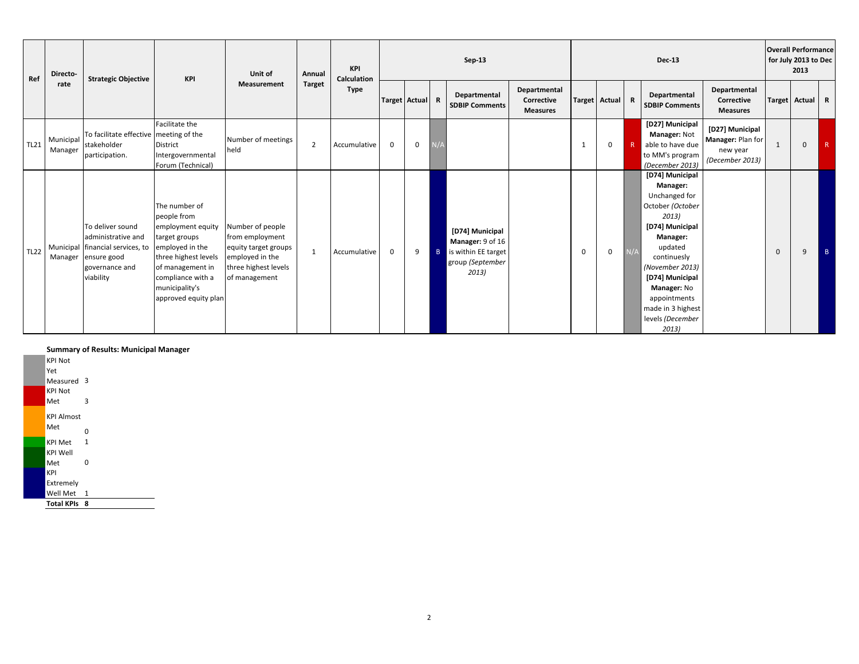| Directo-<br>Ref<br>rate | <b>Strategic Objective</b> | KPI                                                                                                                              | Unit of                                                                                                                                                                                          | Annual                                                                                                                  | KPI<br>Calculation |              |                 |   | Sep-13         |                                                                                         |                                               |              |               | <b>Dec-13</b> |                                                                                                                                                                                                                                                           |                                                                     | <b>Overall Performance</b><br>for July 2013 to Dec<br>2013 |                 |   |
|-------------------------|----------------------------|----------------------------------------------------------------------------------------------------------------------------------|--------------------------------------------------------------------------------------------------------------------------------------------------------------------------------------------------|-------------------------------------------------------------------------------------------------------------------------|--------------------|--------------|-----------------|---|----------------|-----------------------------------------------------------------------------------------|-----------------------------------------------|--------------|---------------|---------------|-----------------------------------------------------------------------------------------------------------------------------------------------------------------------------------------------------------------------------------------------------------|---------------------------------------------------------------------|------------------------------------------------------------|-----------------|---|
|                         |                            |                                                                                                                                  |                                                                                                                                                                                                  | <b>Measurement</b>                                                                                                      | <b>Target</b>      | <b>Type</b>  | Target Actual R |   |                | Departmental<br><b>SDBIP Comments</b>                                                   | Departmental<br>Corrective<br><b>Measures</b> |              | Target Actual | R             | Departmental<br><b>SDBIP Comments</b>                                                                                                                                                                                                                     | Departmental<br>Corrective<br><b>Measures</b>                       |                                                            | Target Actual R |   |
| <b>TL21</b>             | Municipal<br>Manager       | To facilitate effective meeting of the<br>stakeholder<br>participation.                                                          | Facilitate the<br>District<br>Intergovernmental<br>Forum (Technical)                                                                                                                             | Number of meetings<br>held                                                                                              | $\overline{2}$     | Accumulative | $\mathbf 0$     | 0 |                |                                                                                         |                                               | $\mathbf{1}$ | 0             |               | [D27] Municipal<br>Manager: Not<br>able to have due<br>to MM's program<br>(December 2013)                                                                                                                                                                 | [D27] Municipal<br>Manager: Plan for<br>new year<br>(December 2013) | -1                                                         | $\mathbf 0$     | R |
| <b>TL22</b>             |                            | To deliver sound<br>administrative and<br>Municipal financial services, to<br>Manager ensure good<br>governance and<br>viability | The number of<br>people from<br>employment equity<br>target groups<br>employed in the<br>three highest levels<br>of management in<br>compliance with a<br>municipality's<br>approved equity plan | Number of people<br>from employment<br>equity target groups<br>employed in the<br>three highest levels<br>of management | $\overline{1}$     | Accumulative | $\mathbf{0}$    | 9 | $\overline{B}$ | [D74] Municipal<br>Manager: 9 of 16<br>is within EE target<br>group (September<br>2013) |                                               | $\Omega$     | 0             |               | [D74] Municipal<br>Manager:<br>Unchanged for<br>October (October<br>2013)<br>[D74] Municipal<br>Manager:<br>updated<br>continuesly<br>(November 2013)<br>[D74] Municipal<br>Manager: No<br>appointments<br>made in 3 highest<br>levels (December<br>2013) |                                                                     | $\mathbf{0}$                                               | 9               |   |

## **Summary of Results: Municipal Manager**

| <b>Total KPIs 8</b>          |              |
|------------------------------|--------------|
| Well Met                     | - 1          |
| Extremely                    |              |
| KPI                          |              |
| Met                          | O            |
| KPI Well                     |              |
| <b>KPI Met</b>               | $\mathbf{1}$ |
| Met                          | O            |
| <b>KPI Almost</b>            |              |
| Met                          | 3            |
| Measured 3<br><b>KPI Not</b> |              |
| Yet                          |              |
| <b>KPI Not</b>               |              |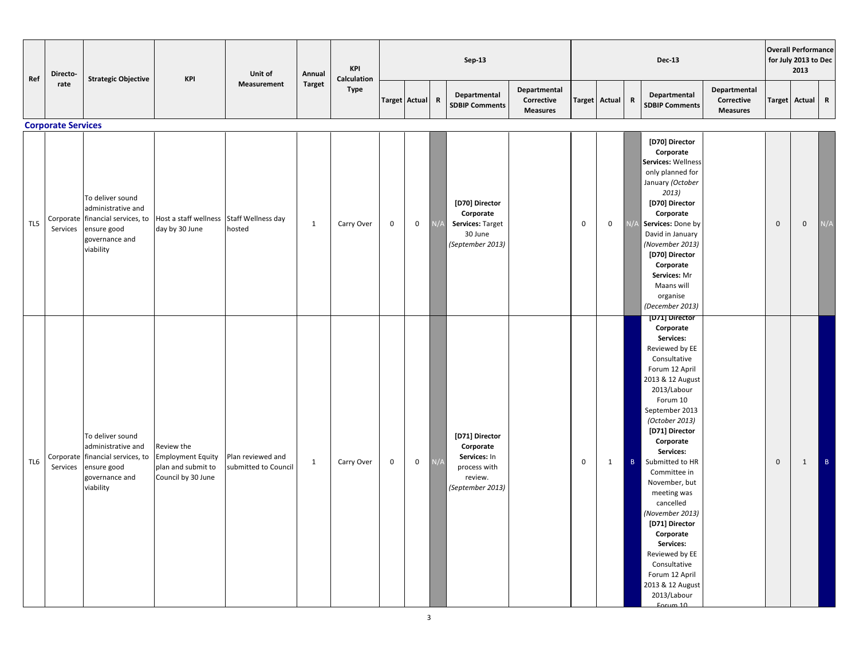| Ref | Directo-                              | <b>Strategic Objective</b>                                                                                               | <b>KPI</b>                                                                         | Unit of                                   | Annual        | <b>KPI</b><br>Calculation |                      |             |             | Sep-13                                                                                     |                                               |               |             |              | <b>Dec-13</b>                                                                                                                                                                                                                                                                                                                                                                                                                                                                 |                                               |             | <b>Overall Performance</b><br>for July 2013 to Dec<br>2013 |             |
|-----|---------------------------------------|--------------------------------------------------------------------------------------------------------------------------|------------------------------------------------------------------------------------|-------------------------------------------|---------------|---------------------------|----------------------|-------------|-------------|--------------------------------------------------------------------------------------------|-----------------------------------------------|---------------|-------------|--------------|-------------------------------------------------------------------------------------------------------------------------------------------------------------------------------------------------------------------------------------------------------------------------------------------------------------------------------------------------------------------------------------------------------------------------------------------------------------------------------|-----------------------------------------------|-------------|------------------------------------------------------------|-------------|
|     | rate                                  |                                                                                                                          |                                                                                    | Measurement                               | <b>Target</b> | <b>Type</b>               | <b>Target Actual</b> |             | $\mathbf R$ | Departmental<br><b>SDBIP Comments</b>                                                      | Departmental<br>Corrective<br><b>Measures</b> | <b>Target</b> | Actual      | $\mathbf R$  | Departmental<br><b>SDBIP Comments</b>                                                                                                                                                                                                                                                                                                                                                                                                                                         | Departmental<br>Corrective<br><b>Measures</b> |             | <b>Target Actual</b>                                       | $\mathbf R$ |
| TL5 | <b>Corporate Services</b><br>Services | To deliver sound<br>administrative and<br>Corporate financial services, to<br>ensure good<br>governance and<br>viability | Host a staff wellness<br>day by 30 June                                            | Staff Wellness day<br>hosted              | $\mathbf{1}$  | Carry Over                | $\mathbf 0$          | 0           | N/t         | [D70] Director<br>Corporate<br>Services: Target<br>30 June<br>(September 2013)             |                                               | $\mathbf 0$   | $\mathbf 0$ | N/4          | [D70] Director<br>Corporate<br>Services: Wellness<br>only planned for<br>January (October<br>2013)<br>[D70] Director<br>Corporate<br>Services: Done by<br>David in January<br>(November 2013)<br>[D70] Director<br>Corporate<br>Services: Mr<br>Maans will<br>organise<br>(December 2013)                                                                                                                                                                                     |                                               | $\mathbf 0$ | $\boldsymbol{0}$                                           | N/A         |
| TL6 | Services                              | To deliver sound<br>administrative and<br>Corporate financial services, to<br>ensure good<br>governance and<br>viability | Review the<br><b>Employment Equity</b><br>plan and submit to<br>Council by 30 June | Plan reviewed and<br>submitted to Council | 1             | Carry Over                | $\mathbf 0$          | $\mathbf 0$ | N/A         | [D71] Director<br>Corporate<br>Services: In<br>process with<br>review.<br>(September 2013) |                                               | $\mathbf 0$   | 1           | $\mathbf{B}$ | [D71] Director<br>Corporate<br>Services:<br>Reviewed by EE<br>Consultative<br>Forum 12 April<br>2013 & 12 August<br>2013/Labour<br>Forum 10<br>September 2013<br>(October 2013)<br>[D71] Director<br>Corporate<br>Services:<br>Submitted to HR<br>Committee in<br>November, but<br>meeting was<br>cancelled<br>(November 2013)<br>[D71] Director<br>Corporate<br>Services:<br>Reviewed by EE<br>Consultative<br>Forum 12 April<br>2013 & 12 August<br>2013/Labour<br>Forum 10 |                                               | $\mathbf 0$ | $\mathbf{1}$                                               | B           |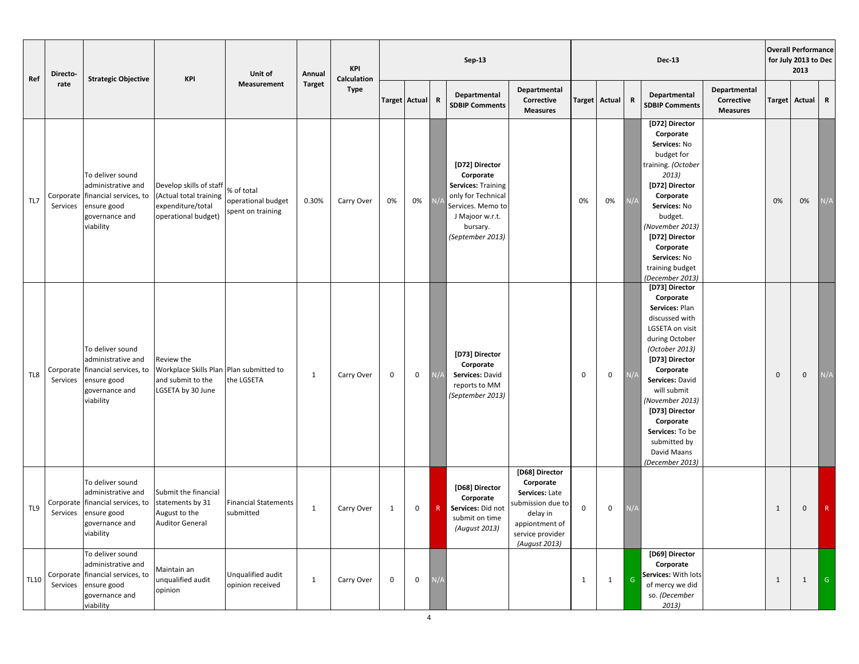| Ref         | Directo-              | <b>Strategic Objective</b>                                                                                               | <b>KPI</b>                                                                                      | Unit of                                               | Annual        | Sep-13<br><b>KPI</b><br>Calculation |              |                 |     |                                                                                                                                                        |                                                                                                                                       |               |                  | <b>Dec-13</b> |                                                                                                                                                                                                                                                                                                                |                                               | <b>Overall Performance</b><br>for July 2013 to Dec<br>2013 |              |                         |
|-------------|-----------------------|--------------------------------------------------------------------------------------------------------------------------|-------------------------------------------------------------------------------------------------|-------------------------------------------------------|---------------|-------------------------------------|--------------|-----------------|-----|--------------------------------------------------------------------------------------------------------------------------------------------------------|---------------------------------------------------------------------------------------------------------------------------------------|---------------|------------------|---------------|----------------------------------------------------------------------------------------------------------------------------------------------------------------------------------------------------------------------------------------------------------------------------------------------------------------|-----------------------------------------------|------------------------------------------------------------|--------------|-------------------------|
|             | rate                  |                                                                                                                          |                                                                                                 | <b>Measurement</b>                                    | <b>Target</b> | <b>Type</b>                         |              | Target Actual R |     | Departmental<br><b>SDBIP Comments</b>                                                                                                                  | Departmental<br>Corrective<br><b>Measures</b>                                                                                         | <b>Target</b> | Actual           | $\mathbf R$   | Departmental<br><b>SDBIP Comments</b>                                                                                                                                                                                                                                                                          | Departmental<br>Corrective<br><b>Measures</b> | <b>Target</b>                                              | Actual       | $\mathbf R$             |
| TL7         | Corporate<br>Services | To deliver sound<br>administrative and<br>financial services, to<br>ensure good<br>governance and<br>viability           | Develop skills of staff<br>(Actual total training<br>expenditure/total<br>operational budget)   | % of total<br>operational budget<br>spent on training | 0.30%         | Carry Over                          | 0%           | 0%              |     | [D72] Director<br>Corporate<br><b>Services: Training</b><br>only for Technical<br>Services. Memo to<br>J Majoor w.r.t.<br>bursary.<br>(September 2013) |                                                                                                                                       | 0%            | 0%               |               | [D72] Director<br>Corporate<br>Services: No<br>budget for<br>training. (October<br>2013)<br>[D72] Director<br>Corporate<br>Services: No<br>budget.<br>(November 2013)<br>[D72] Director<br>Corporate<br>Services: No<br>training budget<br>(December 2013)                                                     |                                               | 0%                                                         | 0%           | N/A                     |
| TL8         | Corporate<br>Services | To deliver sound<br>administrative and<br>financial services, to<br>ensure good<br>governance and<br>viability           | Review the<br>Workplace Skills Plan Plan submitted to<br>and submit to the<br>LGSETA by 30 June | the LGSETA                                            | $\mathbf{1}$  | Carry Over                          | 0            | 0               | N/A | [D73] Director<br>Corporate<br>Services: David<br>reports to MM<br>(September 2013)                                                                    |                                                                                                                                       | $\mathbf 0$   | $\mathbf 0$      |               | [D73] Director<br>Corporate<br>Services: Plan<br>discussed with<br>LGSETA on visit<br>during October<br>(October 2013)<br>[D73] Director<br>Corporate<br>Services: David<br>will submit<br>(November 2013)<br>[D73] Director<br>Corporate<br>Services: To be<br>submitted by<br>David Maans<br>(December 2013) |                                               | $\mathbf 0$                                                | $\mathbf 0$  | N/A                     |
| TL9         | Corporate<br>Services | To deliver sound<br>administrative and<br>financial services, to<br>ensure good<br>governance and<br>viability           | Submit the financial<br>statements by 31<br>August to the<br><b>Auditor General</b>             | <b>Financial Statements</b><br>submitted              | $\mathbf{1}$  | Carry Over                          | $\mathbf{1}$ | 0               | R   | [D68] Director<br>Corporate<br>Services: Did not<br>submit on time<br>(August 2013)                                                                    | [D68] Director<br>Corporate<br>Services: Late<br>submission due to<br>delay in<br>appiontment of<br>service provider<br>(August 2013) | 0             | $\boldsymbol{0}$ |               |                                                                                                                                                                                                                                                                                                                |                                               | 1                                                          | 0            | R                       |
| <b>TL10</b> | Services              | To deliver sound<br>administrative and<br>Corporate financial services, to<br>ensure good<br>governance and<br>viability | Maintain an<br>unqualified audit<br>opinion                                                     | Unqualified audit<br>opinion received                 | $\mathbf{1}$  | Carry Over                          | $\mathbf 0$  | $\pmb{0}$       | N/A |                                                                                                                                                        |                                                                                                                                       | 1             | $\mathbf{1}$     | ${\mathsf G}$ | [D69] Director<br>Corporate<br>Services: With lots<br>of mercy we did<br>so. (December<br>2013)                                                                                                                                                                                                                |                                               | 1                                                          | $\mathbf{1}$ | $\overline{\mathsf{G}}$ |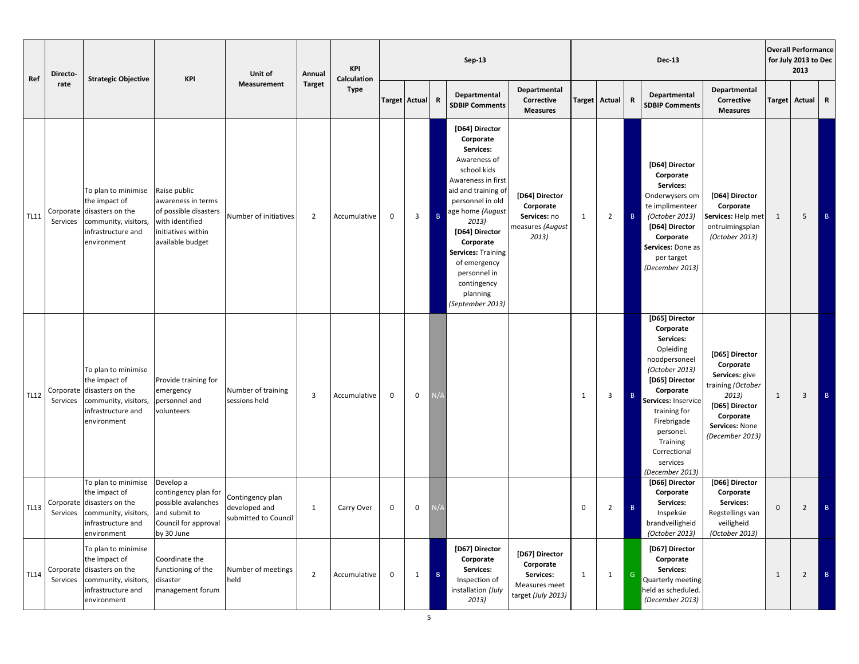| Ref         | Directo-              | <b>Strategic Objective</b>                                                                                                      | <b>KPI</b>                                                                                                               | Unit of                                                   | Sep-13<br><b>KPI</b><br>Annual<br>Calculation |              |             |                 | <b>Dec-13</b>  |                                                                                                                                                                                                                                                                                                           |                                                                                 | <b>Overall Performance</b><br>for July 2013 to Dec<br>2013 |                |               |                                                                                                                                                                                                                                                       |                                                                                                                                                 |              |                 |              |
|-------------|-----------------------|---------------------------------------------------------------------------------------------------------------------------------|--------------------------------------------------------------------------------------------------------------------------|-----------------------------------------------------------|-----------------------------------------------|--------------|-------------|-----------------|----------------|-----------------------------------------------------------------------------------------------------------------------------------------------------------------------------------------------------------------------------------------------------------------------------------------------------------|---------------------------------------------------------------------------------|------------------------------------------------------------|----------------|---------------|-------------------------------------------------------------------------------------------------------------------------------------------------------------------------------------------------------------------------------------------------------|-------------------------------------------------------------------------------------------------------------------------------------------------|--------------|-----------------|--------------|
|             | rate                  |                                                                                                                                 |                                                                                                                          | <b>Measurement</b>                                        | <b>Target</b>                                 | <b>Type</b>  |             | Target Actual R |                | Departmental<br><b>SDBIP Comments</b>                                                                                                                                                                                                                                                                     | Departmental<br>Corrective<br><b>Measures</b>                                   |                                                            | Target Actual  | $\mathbf R$   | Departmental<br><b>SDBIP Comments</b>                                                                                                                                                                                                                 | Departmental<br>Corrective<br><b>Measures</b>                                                                                                   |              | Target Actual R |              |
| <b>TL11</b> | Services              | To plan to minimise<br>the impact of<br>Corporate disasters on the<br>community, visitors,<br>infrastructure and<br>environment | Raise public<br>awareness in terms<br>of possible disasters<br>with identified<br>initiatives within<br>available budget | Number of initiatives                                     | $\overline{2}$                                | Accumulative | $\mathbf 0$ | 3               | $\overline{B}$ | [D64] Director<br>Corporate<br>Services:<br>Awareness of<br>school kids<br>Awareness in first<br>aid and training of<br>personnel in old<br>age home (August<br>2013)<br>[D64] Director<br>Corporate<br>Services: Training<br>of emergency<br>personnel in<br>contingency<br>planning<br>(September 2013) | [D64] Director<br>Corporate<br>Services: no<br>measures (August<br>2013)        | 1                                                          | $\overline{2}$ | B             | [D64] Director<br>Corporate<br>Services:<br>Onderwysers om<br>te implimenteer<br>(October 2013)<br>[D64] Director<br>Corporate<br>Services: Done as<br>per target<br>(December 2013)                                                                  | [D64] Director<br>Corporate<br>Services: Help met<br>ontruimingsplan<br>(October 2013)                                                          | 1            | 5               | $\mathbf{B}$ |
| <b>TL12</b> | Services              | To plan to minimise<br>the impact of<br>Corporate disasters on the<br>community, visitors,<br>infrastructure and<br>environment | Provide training for<br>emergency<br>personnel and<br>volunteers                                                         | Number of training<br>sessions held                       | 3                                             | Accumulative | 0           | 0               |                |                                                                                                                                                                                                                                                                                                           |                                                                                 | 1                                                          | 3              | $\, {\sf B}$  | [D65] Director<br>Corporate<br>Services:<br>Opleiding<br>noodpersoneel<br>(October 2013)<br>[D65] Director<br>Corporate<br>Services: Inservice<br>training for<br>Firebrigade<br>personel.<br>Training<br>Correctional<br>services<br>(December 2013) | [D65] Director<br>Corporate<br>Services: give<br>training (October<br>2013)<br>[D65] Director<br>Corporate<br>Services: None<br>(December 2013) | 1            | 3               | B            |
| <b>TL13</b> | Corporate<br>Services | To plan to minimise<br>the impact of<br>disasters on the<br>community, visitors,<br>infrastructure and<br>environment           | Develop a<br>contingency plan for<br>possible avalanches<br>and submit to<br>Council for approval<br>by 30 June          | Contingency plan<br>developed and<br>submitted to Council | $\mathbf{1}$                                  | Carry Over   | 0           | 0               |                |                                                                                                                                                                                                                                                                                                           |                                                                                 | 0                                                          | $\overline{2}$ | B             | [D66] Director<br>Corporate<br>Services:<br>Inspeksie<br>brandveiligheid<br>(October 2013)                                                                                                                                                            | [D66] Director<br>Corporate<br>Services:<br>Regstellings van<br>veiligheid<br>(October 2013)                                                    | $\mathbf{0}$ | $\overline{2}$  | $\mathsf B$  |
| <b>TL14</b> | Services              | To plan to minimise<br>the impact of<br>Corporate disasters on the<br>community, visitors,<br>infrastructure and<br>environment | Coordinate the<br>functioning of the<br>disaster<br>management forum                                                     | Number of meetings<br>held                                | $\overline{2}$                                | Accumulative | $\mathbf 0$ | $\mathbf{1}$    | $\overline{B}$ | [D67] Director<br>Corporate<br>Services:<br>Inspection of<br>installation (July<br>2013)                                                                                                                                                                                                                  | [D67] Director<br>Corporate<br>Services:<br>Measures meet<br>target (July 2013) | $\mathbf{1}$                                               | $\mathbf{1}$   | ${\mathsf G}$ | [D67] Director<br>Corporate<br>Services:<br>Quarterly meeting<br>held as scheduled.<br>(December 2013)                                                                                                                                                |                                                                                                                                                 | 1            | $\overline{2}$  | $\mathbf{B}$ |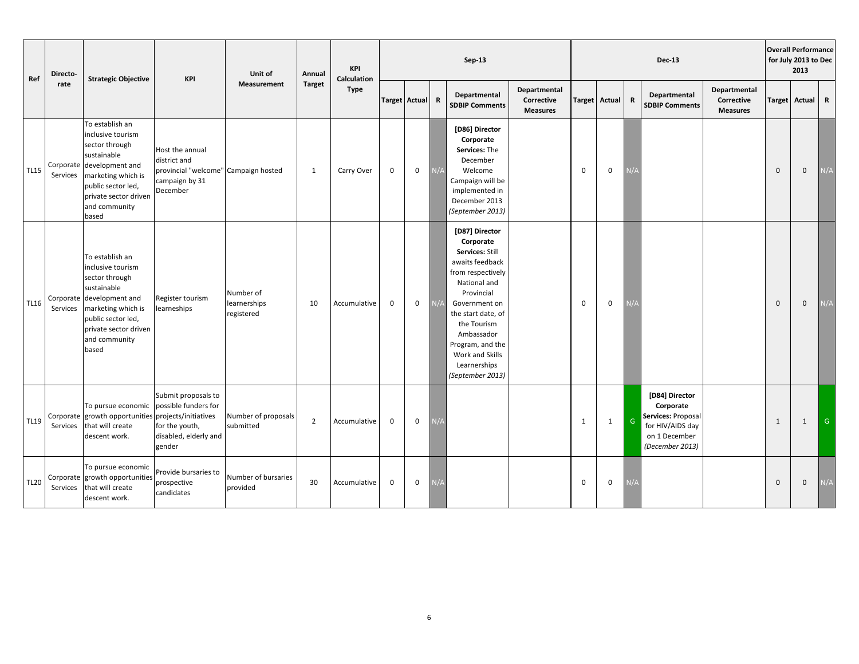| Directo-<br>Ref<br><b>Strategic Objective</b><br>rate |                       | KPI                                                                                                                                                                                               | Unit of                                                                                               | Annual                                  | <b>KPI</b><br>Calculation |              |                      |             | Sep-13      |                                                                                                                                                                                                                                                                     |                                               |             |                      | <b>Dec-13</b> |                                                                                                           |                                               | <b>Overall Performance</b><br>for July 2013 to Dec<br>2013 |                     |              |
|-------------------------------------------------------|-----------------------|---------------------------------------------------------------------------------------------------------------------------------------------------------------------------------------------------|-------------------------------------------------------------------------------------------------------|-----------------------------------------|---------------------------|--------------|----------------------|-------------|-------------|---------------------------------------------------------------------------------------------------------------------------------------------------------------------------------------------------------------------------------------------------------------------|-----------------------------------------------|-------------|----------------------|---------------|-----------------------------------------------------------------------------------------------------------|-----------------------------------------------|------------------------------------------------------------|---------------------|--------------|
|                                                       |                       |                                                                                                                                                                                                   |                                                                                                       | <b>Measurement</b>                      | <b>Target</b>             | <b>Type</b>  | <b>Target Actual</b> |             | $\mathbf R$ | Departmental<br><b>SDBIP Comments</b>                                                                                                                                                                                                                               | Departmental<br>Corrective<br><b>Measures</b> |             | <b>Target Actual</b> | R             | Departmental<br><b>SDBIP Comments</b>                                                                     | Departmental<br>Corrective<br><b>Measures</b> | <b>Target</b>                                              | Actual R            |              |
| <b>TL15</b>                                           | Corporate<br>Services | To establish an<br>inclusive tourism<br>sector through<br>sustainable<br>development and<br>marketing which is<br>public sector led,<br>private sector driven<br>and community<br>based           | Host the annual<br>district and<br>provincial "welcome" Campaign hosted<br>campaign by 31<br>December |                                         | 1                         | Carry Over   | $\mathbf 0$          | $\mathbf 0$ | N/A         | [D86] Director<br>Corporate<br>Services: The<br>December<br>Welcome<br>Campaign will be<br>implemented in<br>December 2013<br>(September 2013)                                                                                                                      |                                               | $\mathbf 0$ | $\mathbf 0$          |               |                                                                                                           |                                               | $\Omega$                                                   | $\mathbf 0$         | N/A          |
| <b>TL16</b>                                           | Services              | To establish an<br>inclusive tourism<br>sector through<br>sustainable<br>Corporate development and<br>marketing which is<br>public sector led,<br>private sector driven<br>and community<br>based | Register tourism<br>learneships                                                                       | Number of<br>learnerships<br>registered | 10                        | Accumulative | $\mathbf 0$          | $\mathsf 0$ | N/A         | [D87] Director<br>Corporate<br>Services: Still<br>awaits feedback<br>from respectively<br>National and<br>Provincial<br>Government on<br>the start date, of<br>the Tourism<br>Ambassador<br>Program, and the<br>Work and Skills<br>Learnerships<br>(September 2013) |                                               | $\Omega$    | $\mathbf{0}$         |               |                                                                                                           |                                               | $\mathbf{0}$                                               | $\mathbf 0$         | N/A          |
| <b>TL19</b>                                           | Services              | To pursue economic<br>Corporate growth opportunities projects/initiatives<br>that will create<br>descent work.                                                                                    | Submit proposals to<br>possible funders for<br>for the youth,<br>disabled, elderly and<br>gender      | Number of proposals<br>submitted        | $\overline{2}$            | Accumulative | $\mathbf 0$          | $\mathbf 0$ | l/A         |                                                                                                                                                                                                                                                                     |                                               | 1           | $\mathbf{1}$         | ${\mathsf G}$ | [D84] Director<br>Corporate<br>Services: Proposal<br>for HIV/AIDS day<br>on 1 December<br>(December 2013) |                                               | 1                                                          | $\mathbf{1}$        | $\mathsf{G}$ |
| <b>TL20</b>                                           | Services              | To pursue economic<br>Corporate growth opportunities<br>that will create<br>descent work.                                                                                                         | Provide bursaries to<br>prospective<br>candidates                                                     | Number of bursaries<br>provided         | 30                        | Accumulative | $\mathbf 0$          | $\mathsf 0$ |             |                                                                                                                                                                                                                                                                     |                                               | $\mathbf 0$ | $\mathbf 0$          |               |                                                                                                           |                                               | $\mathbf{0}$                                               | $\mathsf{O}\xspace$ | N/A          |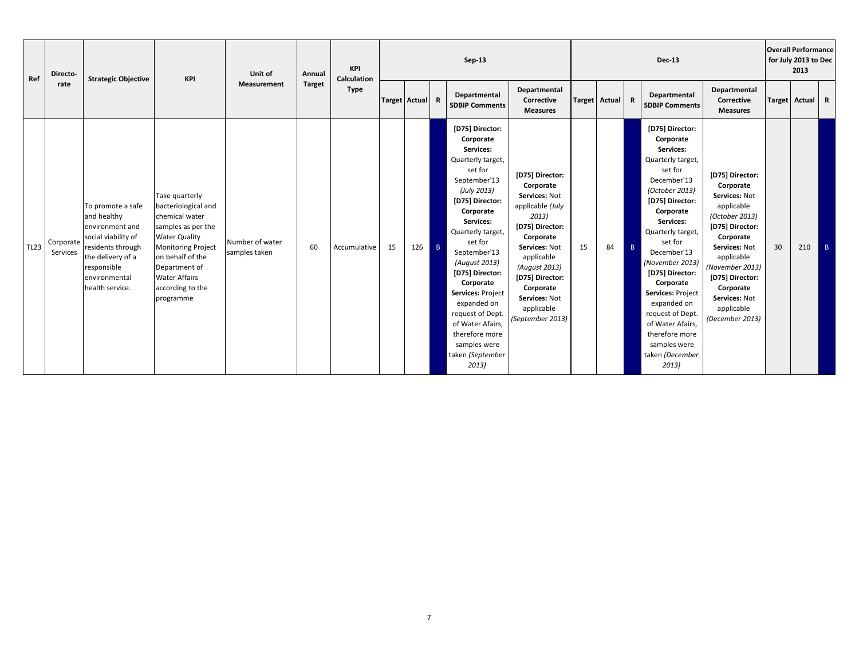| Ref         | Directo-              | <b>Strategic Objective</b>                                                                                                                                              | KPI                                                                                                                                                                                                                              | Unit of                          | Annual        | KPI<br><b>Calculation</b> |                 |     |                | $Sep-13$                                                                                                                                                                                                                                                                                                                                                                                          |                                                                                                                                                                                                                                               |    |                 |                | <b>Dec-13</b>                                                                                                                                                                                                                                                                                                                                                                                       |                                                                                                                                                                                                                                                   |    | <b>Overall Performance</b><br>for July 2013 to Dec<br>2013 |                |
|-------------|-----------------------|-------------------------------------------------------------------------------------------------------------------------------------------------------------------------|----------------------------------------------------------------------------------------------------------------------------------------------------------------------------------------------------------------------------------|----------------------------------|---------------|---------------------------|-----------------|-----|----------------|---------------------------------------------------------------------------------------------------------------------------------------------------------------------------------------------------------------------------------------------------------------------------------------------------------------------------------------------------------------------------------------------------|-----------------------------------------------------------------------------------------------------------------------------------------------------------------------------------------------------------------------------------------------|----|-----------------|----------------|-----------------------------------------------------------------------------------------------------------------------------------------------------------------------------------------------------------------------------------------------------------------------------------------------------------------------------------------------------------------------------------------------------|---------------------------------------------------------------------------------------------------------------------------------------------------------------------------------------------------------------------------------------------------|----|------------------------------------------------------------|----------------|
|             | rate                  |                                                                                                                                                                         |                                                                                                                                                                                                                                  | <b>Measurement</b>               | <b>Target</b> | <b>Type</b>               | Target Actual R |     |                | Departmental<br><b>SDBIP Comments</b>                                                                                                                                                                                                                                                                                                                                                             | Departmental<br>Corrective<br><b>Measures</b>                                                                                                                                                                                                 |    | Target Actual R |                | Departmental<br><b>SDBIP Comments</b>                                                                                                                                                                                                                                                                                                                                                               | Departmental<br>Corrective<br><b>Measures</b>                                                                                                                                                                                                     |    | Target Actual                                              | $\mathbb{R}$   |
| <b>TL23</b> | Corporate<br>Services | To promote a safe<br>and healthy<br>environment and<br>social viability of<br>residents through<br>the delivery of a<br>responsible<br>environmental<br>health service. | Take quarterly<br>bacteriological and<br>chemical water<br>samples as per the<br><b>Water Quality</b><br><b>Monitoring Project</b><br>on behalf of the<br>Department of<br><b>Water Affairs</b><br>according to the<br>programme | Number of water<br>samples taken | 60            | Accumulative              | 15              | 126 | $\overline{B}$ | [D75] Director:<br>Corporate<br>Services:<br>Quarterly target,<br>set for<br>September'13<br>(July 2013)<br>[D75] Director:<br>Corporate<br>Services:<br>Quarterly target,<br>set for<br>September'13<br>(August 2013)<br>[D75] Director:<br>Corporate<br>Services: Project<br>expanded on<br>request of Dept.<br>of Water Afairs,<br>therefore more<br>samples were<br>taken (September<br>2013) | [D75] Director:<br>Corporate<br>Services: Not<br>applicable (July<br>2013)<br>[D75] Director:<br>Corporate<br>Services: Not<br>applicable<br>(August 2013)<br>[D75] Director:<br>Corporate<br>Services: Not<br>applicable<br>(September 2013) | 15 | 84              | $\overline{B}$ | [D75] Director:<br>Corporate<br>Services:<br>Quarterly target,<br>set for<br>December'13<br>(October 2013)<br>[D75] Director:<br>Corporate<br>Services:<br>Quarterly target,<br>set for<br>December'13<br>(November 2013)<br>[D75] Director:<br>Corporate<br>Services: Project<br>expanded on<br>request of Dept.<br>of Water Afairs,<br>therefore more<br>samples were<br>taken (December<br>2013) | [D75] Director:<br>Corporate<br>Services: Not<br>applicable<br>(October 2013)<br>[D75] Director:<br>Corporate<br>Services: Not<br>applicable<br>(November 2013)<br>[D75] Director:<br>Corporate<br>Services: Not<br>applicable<br>(December 2013) | 30 | 210                                                        | $\overline{B}$ |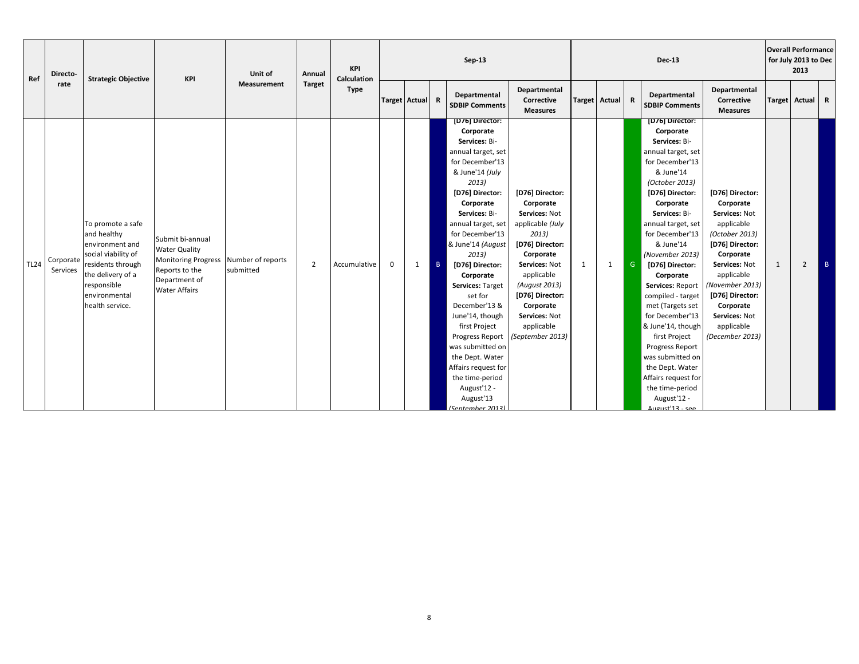| Ref         | Directo-              | <b>Strategic Objective</b>                                                                                                                                              | KPI                                                                                                                                          | Unit of            | Annual         | KPI<br><b>Calculation</b> |                      |   |                | $Sep-13$                                                                                                                                                                                                                                                                                                                                                                                                                                                                                                           |                                                                                                                                                                                                                                               |   |               |              | <b>Dec-13</b>                                                                                                                                                                                                                                                                                                                                                                                                                                                                                                                                |                                                                                                                                                                                                                                                   |   | <b>Overall Performance</b><br>for July 2013 to Dec<br>2013 |   |
|-------------|-----------------------|-------------------------------------------------------------------------------------------------------------------------------------------------------------------------|----------------------------------------------------------------------------------------------------------------------------------------------|--------------------|----------------|---------------------------|----------------------|---|----------------|--------------------------------------------------------------------------------------------------------------------------------------------------------------------------------------------------------------------------------------------------------------------------------------------------------------------------------------------------------------------------------------------------------------------------------------------------------------------------------------------------------------------|-----------------------------------------------------------------------------------------------------------------------------------------------------------------------------------------------------------------------------------------------|---|---------------|--------------|----------------------------------------------------------------------------------------------------------------------------------------------------------------------------------------------------------------------------------------------------------------------------------------------------------------------------------------------------------------------------------------------------------------------------------------------------------------------------------------------------------------------------------------------|---------------------------------------------------------------------------------------------------------------------------------------------------------------------------------------------------------------------------------------------------|---|------------------------------------------------------------|---|
|             | rate                  |                                                                                                                                                                         |                                                                                                                                              | <b>Measurement</b> | <b>Target</b>  | <b>Type</b>               | <b>Target Actual</b> |   | R              | Departmental<br><b>SDBIP Comments</b>                                                                                                                                                                                                                                                                                                                                                                                                                                                                              | Departmental<br>Corrective<br><b>Measures</b>                                                                                                                                                                                                 |   | Target Actual | $\mathbf R$  | Departmental<br><b>SDBIP Comments</b>                                                                                                                                                                                                                                                                                                                                                                                                                                                                                                        | Departmental<br>Corrective<br><b>Measures</b>                                                                                                                                                                                                     |   | Target Actual R                                            |   |
| <b>TL24</b> | Corporate<br>Services | To promote a safe<br>and healthy<br>environment and<br>social viability of<br>residents through<br>the delivery of a<br>responsible<br>environmental<br>health service. | Submit bi-annual<br><b>Water Quality</b><br>Monitoring Progress Number of reports<br>Reports to the<br>Department of<br><b>Water Affairs</b> | submitted          | $\overline{2}$ | Accumulative              | $\mathbf 0$          | 1 | $\overline{B}$ | [D76] Director:<br>Corporate<br>Services: Bi-<br>annual target, set<br>for December'13<br>& June'14 (July<br>2013)<br>[D76] Director:<br>Corporate<br>Services: Bi-<br>annual target, set<br>for December'13<br>& June'14 (August<br>2013)<br>[D76] Director:<br>Corporate<br>Services: Target<br>set for<br>December'13 &<br>June'14, though<br>first Project<br>Progress Report<br>was submitted on<br>the Dept. Water<br>Affairs request for<br>the time-period<br>August'12 -<br>August'13<br>(Sentember 2013) | [D76] Director:<br>Corporate<br>Services: Not<br>applicable (July<br>2013)<br>[D76] Director:<br>Corporate<br>Services: Not<br>applicable<br>(August 2013)<br>[D76] Director:<br>Corporate<br>Services: Not<br>applicable<br>(September 2013) | 1 | 1             | $\mathsf{G}$ | [D76] Director:<br>Corporate<br>Services: Bi-<br>annual target, set<br>for December'13<br>& June'14<br>(October 2013)<br>[D76] Director:<br>Corporate<br>Services: Bi-<br>annual target, set<br>for December'13<br>& June'14<br>(November 2013)<br>[D76] Director:<br>Corporate<br>Services: Report<br>compiled - target<br>met (Targets set<br>for December'13<br>& June'14, though<br>first Project<br>Progress Report<br>was submitted on<br>the Dept. Water<br>Affairs request for<br>the time-period<br>August'12 -<br>مهء - 13'taugust | [D76] Director:<br>Corporate<br>Services: Not<br>applicable<br>(October 2013)<br>[D76] Director:<br>Corporate<br>Services: Not<br>applicable<br>(November 2013)<br>[D76] Director:<br>Corporate<br>Services: Not<br>applicable<br>(December 2013) | 1 | $\overline{2}$                                             | B |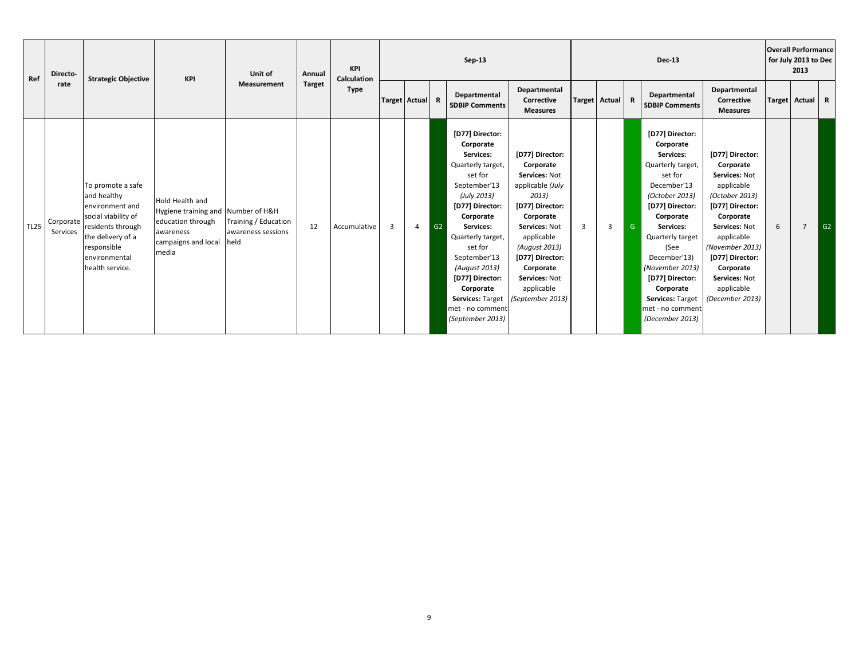| Ref |             | Directo-              | <b>Strategic Objective</b>                                                                                                                                              | <b>KPI</b>                                                                                                                     | Unit of                                            | Annual        | <b>KPI</b><br><b>Calculation</b> |                 |   |    | Sep-13                                                                                                                                                                                                                                                                                                             |                                                                                                                                                                                                                                               |   |                |   | <b>Dec-13</b>                                                                                                                                                                                                                                                                                                            |                                                                                                                                                                                                                                                   | <b>Overall Performance</b><br>for July 2013 to Dec | 2013           |    |
|-----|-------------|-----------------------|-------------------------------------------------------------------------------------------------------------------------------------------------------------------------|--------------------------------------------------------------------------------------------------------------------------------|----------------------------------------------------|---------------|----------------------------------|-----------------|---|----|--------------------------------------------------------------------------------------------------------------------------------------------------------------------------------------------------------------------------------------------------------------------------------------------------------------------|-----------------------------------------------------------------------------------------------------------------------------------------------------------------------------------------------------------------------------------------------|---|----------------|---|--------------------------------------------------------------------------------------------------------------------------------------------------------------------------------------------------------------------------------------------------------------------------------------------------------------------------|---------------------------------------------------------------------------------------------------------------------------------------------------------------------------------------------------------------------------------------------------|----------------------------------------------------|----------------|----|
|     |             | rate                  |                                                                                                                                                                         |                                                                                                                                | <b>Measurement</b>                                 | <b>Target</b> | <b>Type</b>                      | Target Actual R |   |    | Departmental<br><b>SDBIP Comments</b>                                                                                                                                                                                                                                                                              | Departmental<br>Corrective<br><b>Measures</b>                                                                                                                                                                                                 |   | Target Actual  | R | Departmental<br><b>SDBIP Comments</b>                                                                                                                                                                                                                                                                                    | Departmental<br>Corrective<br><b>Measures</b>                                                                                                                                                                                                     | Target Actual R                                    |                |    |
|     | <b>TL25</b> | Corporate<br>Services | To promote a safe<br>and healthy<br>environment and<br>social viability of<br>residents through<br>the delivery of a<br>responsible<br>environmental<br>health service. | <b>Hold Health and</b><br>Hygiene training and Number of H&H<br>education through<br>awareness<br>campaigns and local<br>media | Training / Education<br>awareness sessions<br>held | 12            | Accumulative                     | 3               | 4 | G2 | [D77] Director:<br>Corporate<br>Services:<br>Quarterly target,<br>set for<br>September'13<br>(July 2013)<br>[D77] Director:<br>Corporate<br>Services:<br>Quarterly target,<br>set for<br>September'13<br>(August 2013)<br>[D77] Director:<br>Corporate<br>Services: Target<br>met - no comment<br>(September 2013) | [D77] Director:<br>Corporate<br>Services: Not<br>applicable (July<br>2013)<br>[D77] Director:<br>Corporate<br>Services: Not<br>applicable<br>(August 2013)<br>[D77] Director:<br>Corporate<br>Services: Not<br>applicable<br>(September 2013) | 3 | $\overline{3}$ | G | [D77] Director:<br>Corporate<br>Services:<br>Quarterly target,<br>set for<br>December'13<br>(October 2013)<br>[D77] Director:<br>Corporate<br>Services:<br>Quarterly target<br>(See<br>December'13)<br>(November 2013)<br>[D77] Director:<br>Corporate<br><b>Services: Target</b><br>met - no comment<br>(December 2013) | [D77] Director:<br>Corporate<br>Services: Not<br>applicable<br>(October 2013)<br>[D77] Director:<br>Corporate<br>Services: Not<br>applicable<br>(November 2013)<br>[D77] Director:<br>Corporate<br>Services: Not<br>applicable<br>(December 2013) | 6                                                  | $\overline{7}$ | G2 |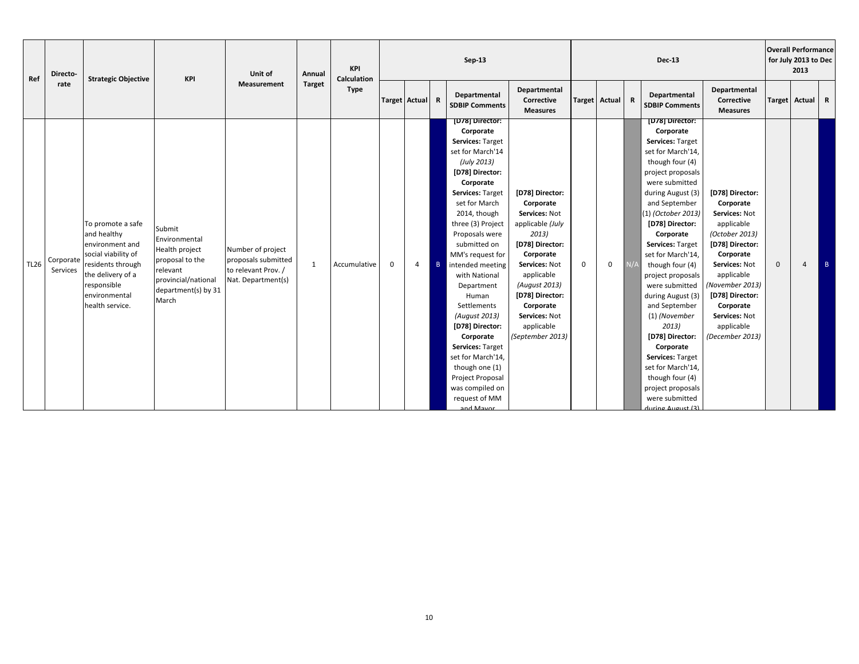| Ref         | Directo-              | <b>Strategic Objective</b>                                                                                                                                              | KPI                                                                                                                             | Unit of                                                                               | Annual        | KPI<br>Calculation |                      |                |   | $Sep-13$                                                                                                                                                                                                                                                                                                                                                                                                                                                                                                               |                                                                                                                                                                                                                                               |             |               |    | <b>Dec-13</b>                                                                                                                                                                                                                                                                                                                                                                                                                                                                                                                                          |                                                                                                                                                                                                                                                   |              | <b>Overall Performance</b><br>for July 2013 to Dec<br>2013 |                |
|-------------|-----------------------|-------------------------------------------------------------------------------------------------------------------------------------------------------------------------|---------------------------------------------------------------------------------------------------------------------------------|---------------------------------------------------------------------------------------|---------------|--------------------|----------------------|----------------|---|------------------------------------------------------------------------------------------------------------------------------------------------------------------------------------------------------------------------------------------------------------------------------------------------------------------------------------------------------------------------------------------------------------------------------------------------------------------------------------------------------------------------|-----------------------------------------------------------------------------------------------------------------------------------------------------------------------------------------------------------------------------------------------|-------------|---------------|----|--------------------------------------------------------------------------------------------------------------------------------------------------------------------------------------------------------------------------------------------------------------------------------------------------------------------------------------------------------------------------------------------------------------------------------------------------------------------------------------------------------------------------------------------------------|---------------------------------------------------------------------------------------------------------------------------------------------------------------------------------------------------------------------------------------------------|--------------|------------------------------------------------------------|----------------|
|             | rate                  |                                                                                                                                                                         |                                                                                                                                 | <b>Measurement</b>                                                                    | <b>Target</b> | <b>Type</b>        | <b>Target Actual</b> |                | R | Departmental<br><b>SDBIP Comments</b>                                                                                                                                                                                                                                                                                                                                                                                                                                                                                  | Departmental<br>Corrective<br><b>Measures</b>                                                                                                                                                                                                 |             | Target Actual | R  | Departmental<br><b>SDBIP Comments</b>                                                                                                                                                                                                                                                                                                                                                                                                                                                                                                                  | Departmental<br>Corrective<br><b>Measures</b>                                                                                                                                                                                                     |              | Target Actual                                              | $\overline{R}$ |
| <b>TL26</b> | Corporate<br>Services | To promote a safe<br>and healthy<br>environment and<br>social viability of<br>residents through<br>the delivery of a<br>responsible<br>environmental<br>health service. | Submit<br>Environmental<br>Health project<br>proposal to the<br>relevant<br>provincial/national<br>department(s) by 31<br>March | Number of project<br>proposals submitted<br>to relevant Prov. /<br>Nat. Department(s) | 1             | Accumulative       | $\mathbf 0$          | $\overline{4}$ | B | [D78] Director:<br>Corporate<br>Services: Target<br>set for March'14<br>(July 2013)<br>[D78] Director:<br>Corporate<br><b>Services: Target</b><br>set for March<br>2014, though<br>three (3) Project<br>Proposals were<br>submitted on<br>MM's request for<br>intended meeting<br>with National<br>Department<br>Human<br>Settlements<br>(August 2013)<br>[D78] Director:<br>Corporate<br>Services: Target<br>set for March'14,<br>though one (1)<br>Project Proposal<br>was compiled on<br>request of MM<br>and Mayor | [D78] Director:<br>Corporate<br>Services: Not<br>applicable (July<br>2013)<br>[D78] Director:<br>Corporate<br>Services: Not<br>applicable<br>(August 2013)<br>[D78] Director:<br>Corporate<br>Services: Not<br>applicable<br>(September 2013) | $\mathbf 0$ | $\mathbf{0}$  | N/ | [D78] Director:<br>Corporate<br>Services: Target<br>set for March'14,<br>though four (4)<br>project proposals<br>were submitted<br>during August (3)<br>and September<br>(1) (October 2013)<br>[D78] Director:<br>Corporate<br>Services: Target<br>set for March'14,<br>though four (4)<br>project proposals<br>were submitted<br>during August (3)<br>and September<br>(1) (November<br>2013)<br>[D78] Director:<br>Corporate<br>Services: Target<br>set for March'14,<br>though four (4)<br>project proposals<br>were submitted<br>during August (3) | [D78] Director:<br>Corporate<br>Services: Not<br>applicable<br>(October 2013)<br>[D78] Director:<br>Corporate<br>Services: Not<br>applicable<br>(November 2013)<br>[D78] Director:<br>Corporate<br>Services: Not<br>applicable<br>(December 2013) | $\mathbf{0}$ | 4                                                          | B              |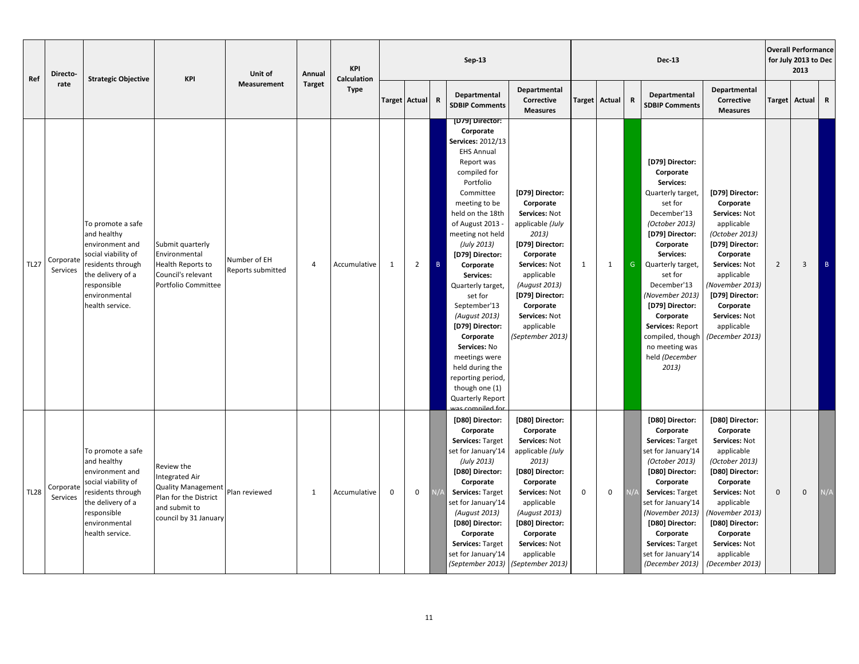| Directo-<br>Ref<br>rate | <b>Strategic Objective</b> | <b>KPI</b>                                                                                                                                                              | Unit of                                                                                                                             | Annual                            | <b>KPI</b><br>Calculation |              |               |                | Sep-13         |                                                                                                                                                                                                                                                                                                                                                                                                                                                                                                           |                                                                                                                                                                                                                                               |               |              | <b>Dec-13</b> |                                                                                                                                                                                                                                                                                                                                                |                                                                                                                                                                                                                                                   | <b>Overall Performance</b><br>for July 2013 to Dec<br>2013 |                |                 |
|-------------------------|----------------------------|-------------------------------------------------------------------------------------------------------------------------------------------------------------------------|-------------------------------------------------------------------------------------------------------------------------------------|-----------------------------------|---------------------------|--------------|---------------|----------------|----------------|-----------------------------------------------------------------------------------------------------------------------------------------------------------------------------------------------------------------------------------------------------------------------------------------------------------------------------------------------------------------------------------------------------------------------------------------------------------------------------------------------------------|-----------------------------------------------------------------------------------------------------------------------------------------------------------------------------------------------------------------------------------------------|---------------|--------------|---------------|------------------------------------------------------------------------------------------------------------------------------------------------------------------------------------------------------------------------------------------------------------------------------------------------------------------------------------------------|---------------------------------------------------------------------------------------------------------------------------------------------------------------------------------------------------------------------------------------------------|------------------------------------------------------------|----------------|-----------------|
|                         |                            |                                                                                                                                                                         |                                                                                                                                     | <b>Measurement</b>                | <b>Target</b>             | <b>Type</b>  | Target Actual |                | $\mathbf R$    | Departmental<br><b>SDBIP Comments</b>                                                                                                                                                                                                                                                                                                                                                                                                                                                                     | Departmental<br>Corrective<br><b>Measures</b>                                                                                                                                                                                                 | <b>Target</b> | Actual       | ${\bf R}$     | Departmental<br><b>SDBIP Comments</b>                                                                                                                                                                                                                                                                                                          | Departmental<br>Corrective<br><b>Measures</b>                                                                                                                                                                                                     | Target                                                     | Actual         | R               |
| <b>TL27</b>             | Corporate<br>Services      | To promote a safe<br>and healthy<br>environment and<br>social viability of<br>residents through<br>the delivery of a<br>responsible<br>environmental<br>health service. | Submit quarterly<br>Environmental<br>Health Reports to<br>Council's relevant<br>Portfolio Committee                                 | Number of EH<br>Reports submitted | $\overline{4}$            | Accumulative | 1             | $\overline{2}$ | $\overline{B}$ | [D79] Director:<br>Corporate<br>Services: 2012/13<br><b>EHS Annual</b><br>Report was<br>compiled for<br>Portfolio<br>Committee<br>meeting to be<br>held on the 18th<br>of August 2013 -<br>meeting not held<br>(July 2013)<br>[D79] Director:<br>Corporate<br>Services:<br>Quarterly target,<br>set for<br>September'13<br>(August 2013)<br>[D79] Director:<br>Corporate<br>Services: No<br>meetings were<br>held during the<br>reporting period,<br>though one (1)<br>Quarterly Report<br>ac compiled fo | [D79] Director:<br>Corporate<br>Services: Not<br>applicable (July<br>2013)<br>[D79] Director:<br>Corporate<br>Services: Not<br>applicable<br>(August 2013)<br>[D79] Director:<br>Corporate<br>Services: Not<br>applicable<br>(September 2013) | 1             | $\mathbf{1}$ | G             | [D79] Director:<br>Corporate<br>Services:<br>Quarterly target,<br>set for<br>December'13<br>(October 2013)<br>[D79] Director:<br>Corporate<br>Services:<br>Quarterly target,<br>set for<br>December'13<br>(November 2013)<br>[D79] Director:<br>Corporate<br>Services: Report<br>compiled, though<br>no meeting was<br>held (December<br>2013) | [D79] Director:<br>Corporate<br>Services: Not<br>applicable<br>(October 2013)<br>[D79] Director:<br>Corporate<br>Services: Not<br>applicable<br>(November 2013)<br>[D79] Director:<br>Corporate<br>Services: Not<br>applicable<br>(December 2013) | $\overline{2}$                                             | $\overline{3}$ | $\, {\bf B} \,$ |
| <b>TL28</b>             | Corporate<br>Services      | To promote a safe<br>and healthy<br>environment and<br>social viability of<br>residents through<br>the delivery of a<br>responsible<br>environmental<br>health service. | Review the<br><b>Integrated Air</b><br><b>Quality Management</b><br>Plan for the District<br>and submit to<br>council by 31 January | Plan reviewed                     | 1                         | Accumulative | $\mathbf 0$   | 0              |                | [D80] Director:<br>Corporate<br>Services: Target<br>set for January'14<br>(July 2013)<br>[D80] Director:<br>Corporate<br>Services: Target<br>set for January'14<br>(August 2013)<br>[D80] Director:<br>Corporate<br>Services: Target<br>set for January'14<br>(September 2013)                                                                                                                                                                                                                            | [D80] Director:<br>Corporate<br>Services: Not<br>applicable (July<br>2013)<br>[D80] Director:<br>Corporate<br>Services: Not<br>applicable<br>(August 2013)<br>[D80] Director:<br>Corporate<br>Services: Not<br>applicable<br>(September 2013) | $\mathbf 0$   | $\mathbf 0$  |               | [D80] Director:<br>Corporate<br>Services: Target<br>set for January'14<br>(October 2013)<br>[D80] Director:<br>Corporate<br>Services: Target<br>set for January'14<br>(November 2013)<br>[D80] Director:<br>Corporate<br>Services: Target<br>set for January'14<br>(December 2013)                                                             | [D80] Director:<br>Corporate<br>Services: Not<br>applicable<br>(October 2013)<br>[D80] Director:<br>Corporate<br>Services: Not<br>applicable<br>(November 2013)<br>[D80] Director:<br>Corporate<br>Services: Not<br>applicable<br>(December 2013) | $\mathbf 0$                                                | $\Omega$       | $\sqrt{A}$      |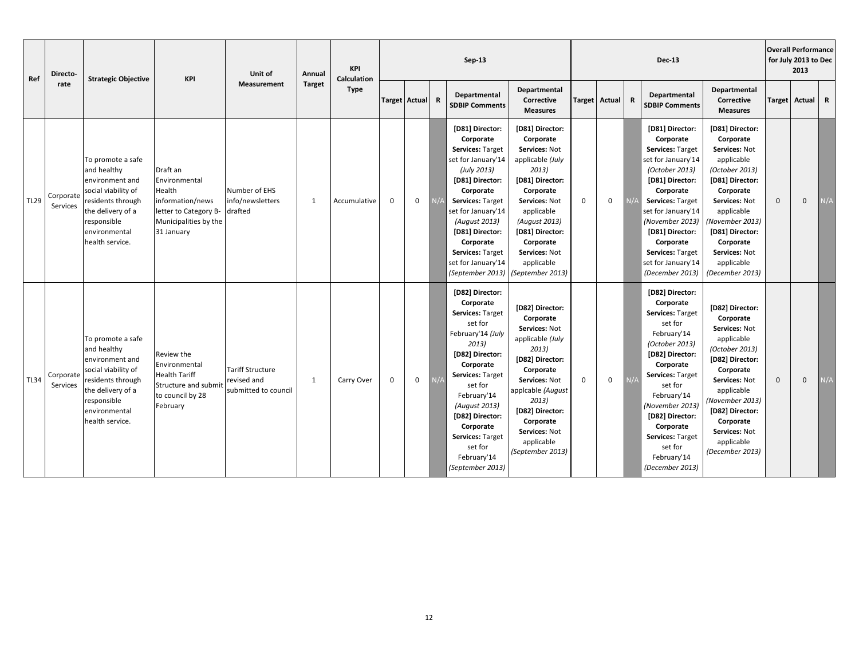| Ref         | Directo-              | <b>Strategic Objective</b>                                                                                                                                              | KPI                                                                                                                     | Unit of                                                        | Annual        | <b>KPI</b><br><b>Calculation</b><br><b>Type</b> | $Sep-13$      |             |             |                                                                                                                                                                                                                                                                                            |                                                                                                                                                                                                                                               |             | <b>Dec-13</b> |             |                                                                                                                                                                                                                                                                                                |                                                                                                                                                                                                                                                   |             | <b>Overall Performance</b><br>for July 2013 to Dec<br>2013 |             |  |
|-------------|-----------------------|-------------------------------------------------------------------------------------------------------------------------------------------------------------------------|-------------------------------------------------------------------------------------------------------------------------|----------------------------------------------------------------|---------------|-------------------------------------------------|---------------|-------------|-------------|--------------------------------------------------------------------------------------------------------------------------------------------------------------------------------------------------------------------------------------------------------------------------------------------|-----------------------------------------------------------------------------------------------------------------------------------------------------------------------------------------------------------------------------------------------|-------------|---------------|-------------|------------------------------------------------------------------------------------------------------------------------------------------------------------------------------------------------------------------------------------------------------------------------------------------------|---------------------------------------------------------------------------------------------------------------------------------------------------------------------------------------------------------------------------------------------------|-------------|------------------------------------------------------------|-------------|--|
|             | rate                  |                                                                                                                                                                         |                                                                                                                         | <b>Measurement</b>                                             | <b>Target</b> |                                                 | Target Actual |             | $\mathbf R$ | Departmental<br><b>SDBIP Comments</b>                                                                                                                                                                                                                                                      | Departmental<br>Corrective<br><b>Measures</b>                                                                                                                                                                                                 |             | Target Actual | $\mathbf R$ | Departmental<br><b>SDBIP Comments</b>                                                                                                                                                                                                                                                          | Departmental<br>Corrective<br><b>Measures</b>                                                                                                                                                                                                     |             | Target Actual                                              | $\mathbf R$ |  |
| <b>TL29</b> | Corporate<br>Services | To promote a safe<br>and healthy<br>environment and<br>social viability of<br>residents through<br>the delivery of a<br>responsible<br>environmental<br>health service. | Draft an<br>Environmental<br>Health<br>information/news<br>letter to Category B-<br>Municipalities by the<br>31 January | Number of EHS<br>info/newsletters<br>drafted                   | 1             | Accumulative                                    | $\mathbf 0$   | $\mathbf 0$ |             | [D81] Director:<br>Corporate<br>Services: Target<br>set for January'14<br>(July 2013)<br>[D81] Director:<br>Corporate<br><b>Services: Target</b><br>set for January'14<br>(August 2013)<br>[D81] Director:<br>Corporate<br>Services: Target<br>set for January'14<br>(September 2013)      | [D81] Director:<br>Corporate<br>Services: Not<br>applicable (July<br>2013)<br>[D81] Director:<br>Corporate<br>Services: Not<br>applicable<br>(August 2013)<br>[D81] Director:<br>Corporate<br>Services: Not<br>applicable<br>(September 2013) | 0           | $\mathbf 0$   |             | [D81] Director:<br>Corporate<br>Services: Target<br>set for January'14<br>(October 2013)<br>[D81] Director:<br>Corporate<br>Services: Target<br>set for January'14<br>(November 2013)<br>[D81] Director:<br>Corporate<br>Services: Target<br>set for January'14<br>(December 2013)             | [D81] Director:<br>Corporate<br>Services: Not<br>applicable<br>(October 2013)<br>[D81] Director:<br>Corporate<br>Services: Not<br>applicable<br>(November 2013)<br>[D81] Director:<br>Corporate<br>Services: Not<br>applicable<br>(December 2013) | $\Omega$    | $\mathbf 0$                                                | N/A         |  |
| <b>TL34</b> | Corporate<br>Services | To promote a safe<br>and healthy<br>environment and<br>social viability of<br>residents through<br>the delivery of a<br>responsible<br>environmental<br>health service. | Review the<br>Environmental<br><b>Health Tariff</b><br><b>Structure and submit</b><br>to council by 28<br>February      | <b>Tariff Structure</b><br>revised and<br>submitted to council | -1            | Carry Over                                      | $\mathsf 0$   | $\mathbf 0$ | N/A         | [D82] Director:<br>Corporate<br>Services: Target<br>set for<br>February'14 (July<br>2013)<br>[D82] Director:<br>Corporate<br>Services: Target<br>set for<br>February'14<br>(August 2013)<br>[D82] Director:<br>Corporate<br>Services: Target<br>set for<br>February'14<br>(September 2013) | [D82] Director:<br>Corporate<br>Services: Not<br>applicable (July<br>2013)<br>[D82] Director:<br>Corporate<br>Services: Not<br>applcable (August<br>2013)<br>[D82] Director:<br>Corporate<br>Services: Not<br>applicable<br>(September 2013)  | $\mathbf 0$ | $\mathbf 0$   | N/f         | [D82] Director:<br>Corporate<br>Services: Target<br>set for<br>February'14<br>(October 2013)<br>[D82] Director:<br>Corporate<br>Services: Target<br>set for<br>February'14<br>(November 2013)<br>[D82] Director:<br>Corporate<br>Services: Target<br>set for<br>February'14<br>(December 2013) | [D82] Director:<br>Corporate<br>Services: Not<br>applicable<br>(October 2013)<br>[D82] Director:<br>Corporate<br>Services: Not<br>applicable<br>(November 2013)<br>[D82] Director:<br>Corporate<br>Services: Not<br>applicable<br>(December 2013) | $\mathbf 0$ | $\mathbf 0$                                                | N/A         |  |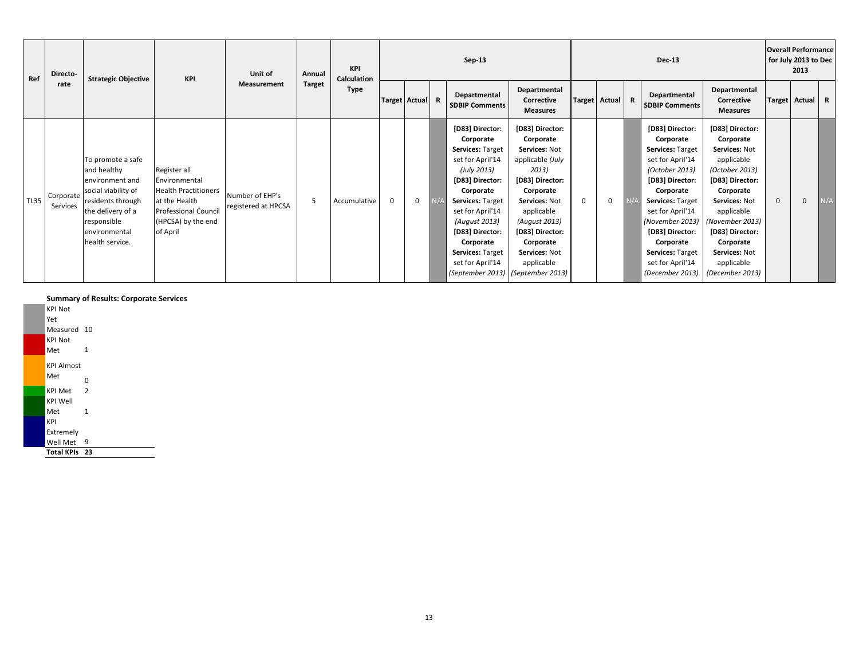| Ref         | Directo-              | <b>Strategic Objective</b>                                                                                                                                              | <b>KPI</b>                                                                                                                                     | Unit of                                | Annual        | KPI<br>Calculation<br><b>Type</b> | $Sep-13$        |              |  |                                                                                                                                                                                                                                                                                           |                                                                                                                                                                                                                           |             | <b>Dec-13</b> |   |                                                                                                                                                                                                                                                                                            |                                                                                                                                                                                                                                                   |          | <b>Overall Performance</b><br>for July 2013 to Dec<br>2013 |              |  |
|-------------|-----------------------|-------------------------------------------------------------------------------------------------------------------------------------------------------------------------|------------------------------------------------------------------------------------------------------------------------------------------------|----------------------------------------|---------------|-----------------------------------|-----------------|--------------|--|-------------------------------------------------------------------------------------------------------------------------------------------------------------------------------------------------------------------------------------------------------------------------------------------|---------------------------------------------------------------------------------------------------------------------------------------------------------------------------------------------------------------------------|-------------|---------------|---|--------------------------------------------------------------------------------------------------------------------------------------------------------------------------------------------------------------------------------------------------------------------------------------------|---------------------------------------------------------------------------------------------------------------------------------------------------------------------------------------------------------------------------------------------------|----------|------------------------------------------------------------|--------------|--|
|             | rate                  |                                                                                                                                                                         |                                                                                                                                                | <b>Measurement</b>                     | <b>Target</b> |                                   | Target Actual R |              |  | Departmental<br><b>SDBIP Comments</b>                                                                                                                                                                                                                                                     | Departmental<br>Corrective<br><b>Measures</b>                                                                                                                                                                             |             | Target Actual | R | Departmental<br><b>SDBIP Comments</b>                                                                                                                                                                                                                                                      | Departmental<br>Corrective<br><b>Measures</b>                                                                                                                                                                                                     |          | Target Actual                                              | $\mathbf{R}$ |  |
| <b>TL35</b> | Corporate<br>Services | To promote a safe<br>and healthy<br>environment and<br>social viability of<br>residents through<br>the delivery of a<br>responsible<br>environmental<br>health service. | Register all<br>Environmental<br><b>Health Practitioners</b><br>at the Health<br><b>Professional Council</b><br>(HPCSA) by the end<br>of April | Number of EHP's<br>registered at HPCSA | .5            | Accumulative                      | $\mathbf{0}$    | $\mathbf{0}$ |  | [D83] Director:<br>Corporate<br>Services: Target<br>set for April'14<br>(July 2013)<br>[D83] Director:<br>Corporate<br>Services: Target<br>set for April'14<br>(August 2013)<br>[D83] Director:<br>Corporate<br>Services: Target<br>set for April'14<br>(September 2013) (September 2013) | [D83] Director:<br>Corporate<br>Services: Not<br>applicable (July<br>2013)<br>[D83] Director:<br>Corporate<br>Services: Not<br>applicable<br>(August 2013)<br>[D83] Director:<br>Corporate<br>Services: Not<br>applicable | $\mathbf 0$ | $\mathbf{0}$  |   | [D83] Director:<br>Corporate<br><b>Services: Target</b><br>set for April'14<br>(October 2013)<br>[D83] Director:<br>Corporate<br><b>Services: Target</b><br>set for April'14<br>(November 2013)<br>[D83] Director:<br>Corporate<br>Services: Target<br>set for April'14<br>(December 2013) | [D83] Director:<br>Corporate<br>Services: Not<br>applicable<br>(October 2013)<br>[D83] Director:<br>Corporate<br>Services: Not<br>applicable<br>(November 2013)<br>[D83] Director:<br>Corporate<br>Services: Not<br>applicable<br>(December 2013) | $\Omega$ | $\mathbf{0}$                                               | N/A          |  |

#### **Summary of Results: Corporate Services**

KPI Not Yet Measured 10 KPI Not Met 1 KPI Almost Met  $_0$ KPI Met 2 KPI Well Met 1 KPI **Extremely** Well Met 9 **Total KPIs 23**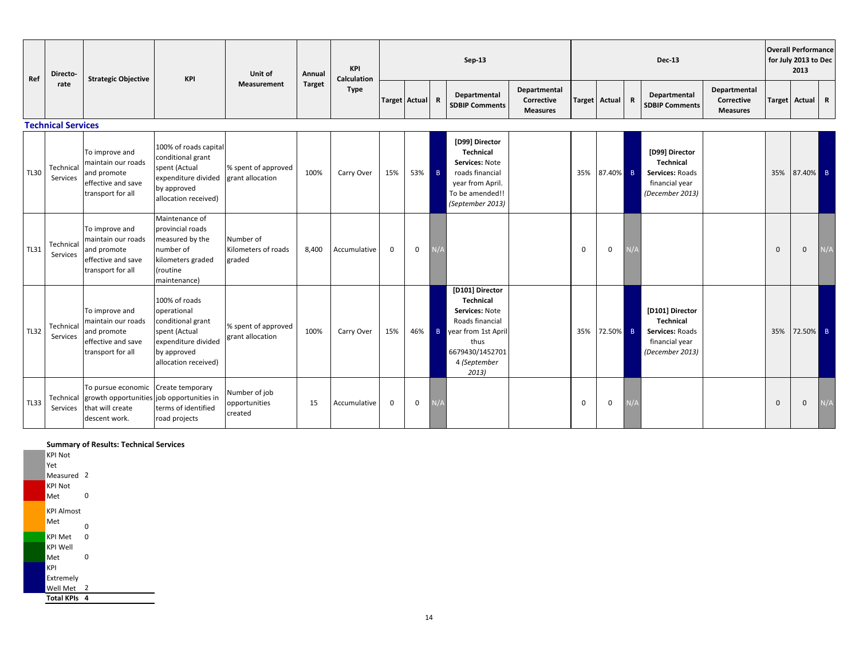| Ref         | Directo-                  | <b>Strategic Objective</b>                                                                     | KPI                                                                                                                              | Unit of                                    | Annual        | KPI<br><b>Calculation</b><br><b>Type</b> | $Sep-13$      |     |                |                                                                                                                                              |                                               |             | <b>Dec-13</b>   |  |                                                                                            |                                               |              | <b>Overall Performance</b><br>for July 2013 to Dec<br>2013 |             |  |
|-------------|---------------------------|------------------------------------------------------------------------------------------------|----------------------------------------------------------------------------------------------------------------------------------|--------------------------------------------|---------------|------------------------------------------|---------------|-----|----------------|----------------------------------------------------------------------------------------------------------------------------------------------|-----------------------------------------------|-------------|-----------------|--|--------------------------------------------------------------------------------------------|-----------------------------------------------|--------------|------------------------------------------------------------|-------------|--|
|             | rate                      |                                                                                                |                                                                                                                                  | <b>Measurement</b>                         | <b>Target</b> |                                          | Target Actual |     | $\mathbf R$    | Departmental<br><b>SDBIP Comments</b>                                                                                                        | Departmental<br>Corrective<br><b>Measures</b> |             | Target Actual R |  | Departmental<br><b>SDBIP Comments</b>                                                      | Departmental<br>Corrective<br><b>Measures</b> |              | <b>Target Actual</b>                                       | $\mathbf R$ |  |
|             | <b>Technical Services</b> |                                                                                                |                                                                                                                                  |                                            |               |                                          |               |     |                |                                                                                                                                              |                                               |             |                 |  |                                                                                            |                                               |              |                                                            |             |  |
| <b>TL30</b> | Technical<br>Services     | To improve and<br>maintain our roads<br>and promote<br>effective and save<br>transport for all | 100% of roads capital<br>conditional grant<br>spent (Actual<br>expenditure divided<br>by approved<br>allocation received)        | % spent of approved<br>grant allocation    | 100%          | Carry Over                               | 15%           | 53% | - B            | [D99] Director<br>Technical<br>Services: Note<br>roads financial<br>year from April.<br>To be amended!!<br>(September 2013)                  |                                               | 35%         | 87.40% B        |  | [D99] Director<br><b>Technical</b><br>Services: Roads<br>financial year<br>(December 2013) |                                               | 35%          | 87.40% B                                                   |             |  |
| <b>TL31</b> | Technical<br>Services     | To improve and<br>maintain our roads<br>and promote<br>effective and save<br>transport for all | Maintenance of<br>provincial roads<br>measured by the<br>number of<br>kilometers graded<br><i>(routine</i><br>maintenance)       | Number of<br>Kilometers of roads<br>graded | 8,400         | Accumulative                             | $\mathbf 0$   | 0   |                |                                                                                                                                              |                                               | $\mathbf 0$ | 0               |  |                                                                                            |                                               | $\mathbf{0}$ | $\mathbf{0}$                                               | N/A         |  |
| <b>TL32</b> | Technical<br>Services     | To improve and<br>maintain our roads<br>and promote<br>effective and save<br>transport for all | 100% of roads<br>operational<br>conditional grant<br>spent (Actual<br>expenditure divided<br>by approved<br>allocation received) | % spent of approved<br>grant allocation    | 100%          | Carry Over                               | 15%           | 46% | $\overline{B}$ | [D101] Director<br>Technical<br>Services: Note<br>Roads financial<br>vear from 1st April<br>thus<br>6679430/1452701<br>4 (September<br>2013) |                                               | 35%         | 72.50% B        |  | [D101] Director<br>Technical<br>Services: Roads<br>financial year<br>(December 2013)       |                                               | 35%          | 72.50% B                                                   |             |  |
| <b>TL33</b> | Services                  | To pursue economic<br>Technical growth opportunities<br>that will create<br>descent work.      | Create temporary<br>job opportunities in<br>terms of identified<br>road projects                                                 | Number of job<br>opportunities<br>created  | 15            | Accumulative                             | $\mathbf 0$   | 0   |                |                                                                                                                                              |                                               | $\mathbf 0$ | 0               |  |                                                                                            |                                               | $\mathbf{0}$ | $\mathbf 0$                                                | V/A         |  |

## **Summary of Results: Technical Services**

KPI Not Yet Measured<sub>2</sub> KPI Not Met 0 KPI Almost  $M$ et 0 KPI Met 0 KPI Well Met 0 KPI Extremely Well Met 2 **Total KPIs 4**